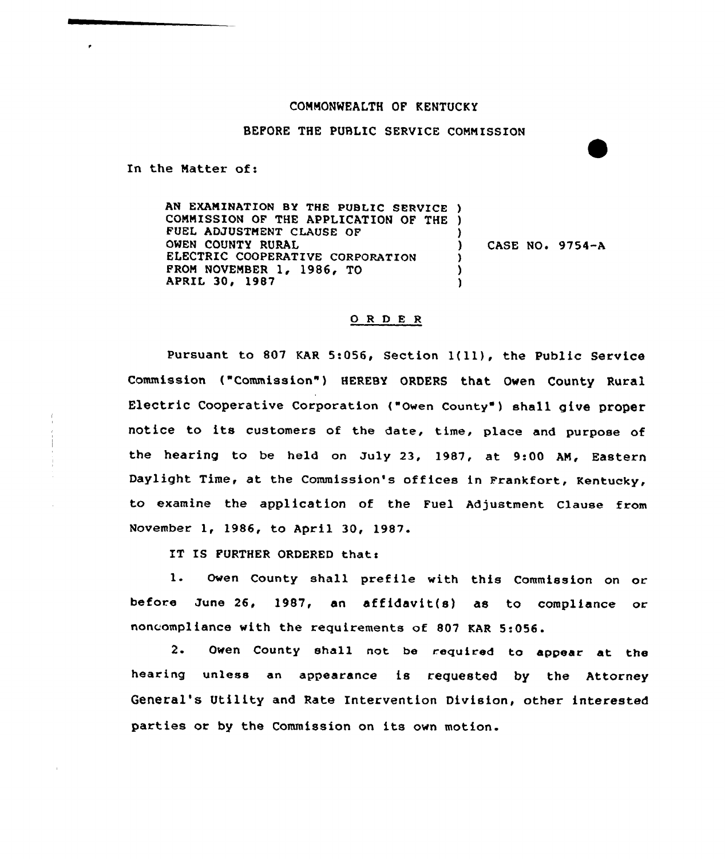## COMMONWEALTH OF KENTUCKY

## BEFORE THE PUBLIC SERVICE COMMISSION

In the Matter of:

AN EXAMINATION BY THE PUBLIC SERVICE ) COMMISSION OF THE APPLICATION OF THE ) FUEL ADJUSTMENT CLAUSE OF OWEN COUNTY RURAL ELECTRIC COOPERATIVE CORPORATION PROM NOVEMBER 1, 1986, TO APRIL 30, 1987 ) CASE NO. 9754-A ) ) )

## 0 <sup>R</sup> <sup>D</sup> E <sup>R</sup>

Pursuant to 807 KAR 5:056, Section 1(11), the Public Service Commission ("Commission") HEREBY ORDERS that Owen County Rural Electric Cooperative Corporation ("Owen County" ) shall give proper notice to its customers of the date, time, place and purpose of the hearing to be held on July 23, 1987, at 9:00 AN, Eastern Daylight Time, at the Commission's offices in Frankfort, Kentucky, to examine the application of the Fuel Adjustment Clause from November 1, 1986, to April 30, 1987.

IT IS FURTHER ORDERED that:

1. Owen County shall prefile with this Commission on or before June 26, 1987, an affidavit(s) as to compliance or noncompliance with the requirements of 807 KAR 5:056.

2. Owen County shall not be required to appear at the hearing unless an appearance is requested by the Attorney General's Utility and Rate Intervention Division, other interested parties or by the Commission on its own motion.